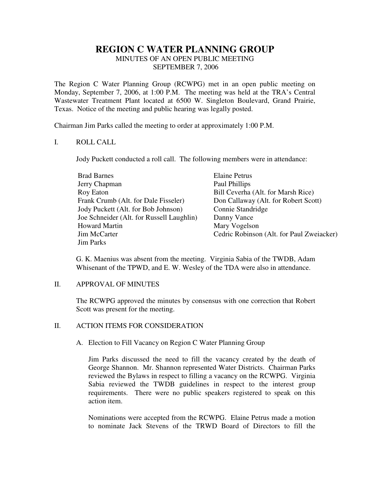# **REGION C WATER PLANNING GROUP** MINUTES OF AN OPEN PUBLIC MEETING SEPTEMBER 7, 2006

The Region C Water Planning Group (RCWPG) met in an open public meeting on Monday, September 7, 2006, at 1:00 P.M. The meeting was held at the TRA's Central Wastewater Treatment Plant located at 6500 W. Singleton Boulevard, Grand Prairie, Texas. Notice of the meeting and public hearing was legally posted.

Chairman Jim Parks called the meeting to order at approximately 1:00 P.M.

### I. ROLL CALL

Jody Puckett conducted a roll call. The following members were in attendance:

| <b>Brad Barnes</b>                        | <b>Elaine Petrus</b>                      |
|-------------------------------------------|-------------------------------------------|
| Jerry Chapman                             | Paul Phillips                             |
| Roy Eaton                                 | Bill Ceverha (Alt. for Marsh Rice)        |
| Frank Crumb (Alt. for Dale Fisseler)      | Don Callaway (Alt. for Robert Scott)      |
| Jody Puckett (Alt. for Bob Johnson)       | Connie Standridge                         |
| Joe Schneider (Alt. for Russell Laughlin) | Danny Vance                               |
| <b>Howard Martin</b>                      | Mary Vogelson                             |
| Jim McCarter                              | Cedric Robinson (Alt. for Paul Zweiacker) |
| <b>Jim Parks</b>                          |                                           |

G. K. Maenius was absent from the meeting. Virginia Sabia of the TWDB, Adam Whisenant of the TPWD, and E. W. Wesley of the TDA were also in attendance.

# II. APPROVAL OF MINUTES

The RCWPG approved the minutes by consensus with one correction that Robert Scott was present for the meeting.

# II. ACTION ITEMS FOR CONSIDERATION

#### A. Election to Fill Vacancy on Region C Water Planning Group

Jim Parks discussed the need to fill the vacancy created by the death of George Shannon. Mr. Shannon represented Water Districts. Chairman Parks reviewed the Bylaws in respect to filling a vacancy on the RCWPG. Virginia Sabia reviewed the TWDB guidelines in respect to the interest group requirements. There were no public speakers registered to speak on this action item.

Nominations were accepted from the RCWPG. Elaine Petrus made a motion to nominate Jack Stevens of the TRWD Board of Directors to fill the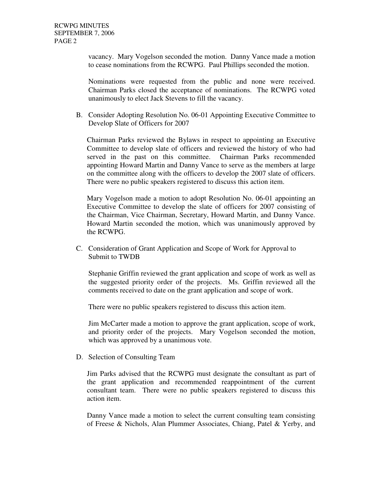vacancy. Mary Vogelson seconded the motion. Danny Vance made a motion to cease nominations from the RCWPG. Paul Phillips seconded the motion.

Nominations were requested from the public and none were received. Chairman Parks closed the acceptance of nominations. The RCWPG voted unanimously to elect Jack Stevens to fill the vacancy.

B. Consider Adopting Resolution No. 06-01 Appointing Executive Committee to Develop Slate of Officers for 2007

Chairman Parks reviewed the Bylaws in respect to appointing an Executive Committee to develop slate of officers and reviewed the history of who had served in the past on this committee. Chairman Parks recommended appointing Howard Martin and Danny Vance to serve as the members at large on the committee along with the officers to develop the 2007 slate of officers. There were no public speakers registered to discuss this action item.

Mary Vogelson made a motion to adopt Resolution No. 06-01 appointing an Executive Committee to develop the slate of officers for 2007 consisting of the Chairman, Vice Chairman, Secretary, Howard Martin, and Danny Vance. Howard Martin seconded the motion, which was unanimously approved by the RCWPG.

C. Consideration of Grant Application and Scope of Work for Approval to Submit to TWDB

Stephanie Griffin reviewed the grant application and scope of work as well as the suggested priority order of the projects. Ms. Griffin reviewed all the comments received to date on the grant application and scope of work.

There were no public speakers registered to discuss this action item.

Jim McCarter made a motion to approve the grant application, scope of work, and priority order of the projects. Mary Vogelson seconded the motion, which was approved by a unanimous vote.

D. Selection of Consulting Team

Jim Parks advised that the RCWPG must designate the consultant as part of the grant application and recommended reappointment of the current consultant team. There were no public speakers registered to discuss this action item.

Danny Vance made a motion to select the current consulting team consisting of Freese & Nichols, Alan Plummer Associates, Chiang, Patel & Yerby, and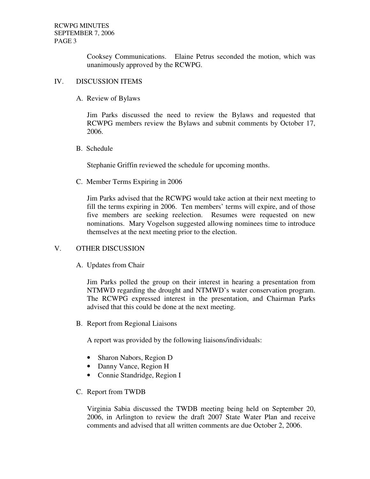Cooksey Communications. Elaine Petrus seconded the motion, which was unanimously approved by the RCWPG.

### IV. DISCUSSION ITEMS

A. Review of Bylaws

Jim Parks discussed the need to review the Bylaws and requested that RCWPG members review the Bylaws and submit comments by October 17, 2006.

B. Schedule

Stephanie Griffin reviewed the schedule for upcoming months.

C. Member Terms Expiring in 2006

Jim Parks advised that the RCWPG would take action at their next meeting to fill the terms expiring in 2006. Ten members' terms will expire, and of those five members are seeking reelection. Resumes were requested on new nominations. Mary Vogelson suggested allowing nominees time to introduce themselves at the next meeting prior to the election.

# V. OTHER DISCUSSION

A. Updates from Chair

Jim Parks polled the group on their interest in hearing a presentation from NTMWD regarding the drought and NTMWD's water conservation program. The RCWPG expressed interest in the presentation, and Chairman Parks advised that this could be done at the next meeting.

B. Report from Regional Liaisons

A report was provided by the following liaisons/individuals:

- Sharon Nabors, Region D
- Danny Vance, Region H
- Connie Standridge, Region I
- C. Report from TWDB

Virginia Sabia discussed the TWDB meeting being held on September 20, 2006, in Arlington to review the draft 2007 State Water Plan and receive comments and advised that all written comments are due October 2, 2006.